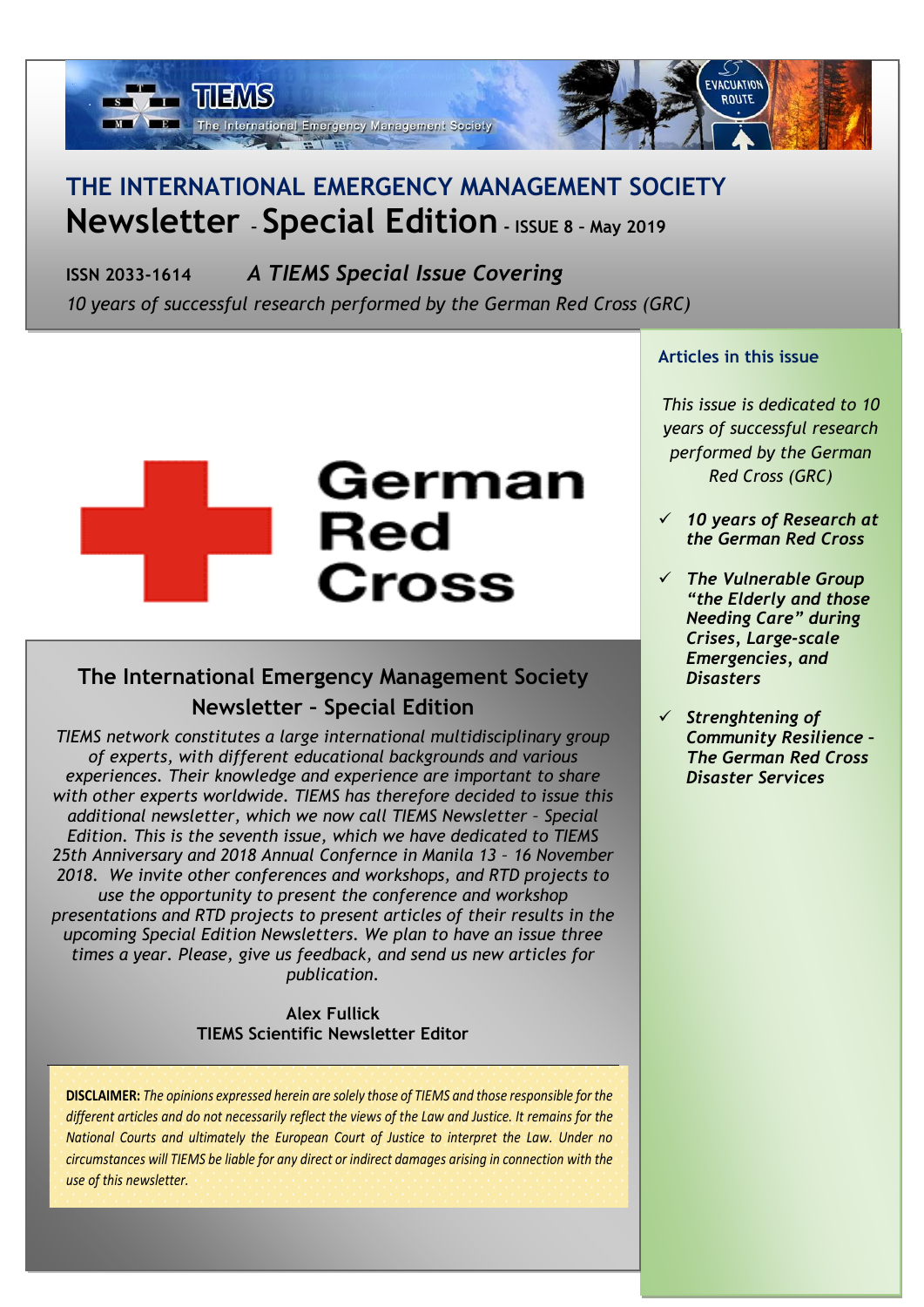

### **THE INTERNATIONAL EMERGENCY MANAGEMENT SOCIETY Newsletter – Special Edition - ISSUE 8 – May 2019**

**ISSN 2033-1614** *A TIEMS Special Issue Covering* 

*10 years of successful research performed by the German Red Cross (GRC)*

# German Red **Cross**

### **The International Emergency Management Society Newsletter – Special Edition**

*TIEMS network constitutes a large international multidisciplinary group of experts, with different educational backgrounds and various experiences. Their knowledge and experience are important to share with other experts worldwide. TIEMS has therefore decided to issue this additional newsletter, which we now call TIEMS Newsletter – Special Edition. This is the seventh issue, which we have dedicated to TIEMS 25th Anniversary and 2018 Annual Confernce in Manila 13 – 16 November 2018. We invite other conferences and workshops, and RTD projects to use the opportunity to present the conference and workshop presentations and RTD projects to present articles of their results in the upcoming Special Edition Newsletters. We plan to have an issue three times a year. Please, give us feedback, and send us new articles for publication.*

#### **Alex Fullick TIEMS Scientific Newsletter Editor**

**DISCLAIMER:** *The opinions expressed herein are solely those of TIEMS and those responsible for the different articles and do not necessarily reflect the views of the Law and Justice. It remains for the National Courts and ultimately the European Court of Justice to interpret the Law. Under no circumstances will TIEMS be liable for any direct or indirect damages arising in connection with the use of this newsletter.*

> *The International Emergency Management Society ([www.tiems.org](http://www.tiems.org/)* ) *Rue Des Deux Eglises 39, B - 1000 Brussels, Belgium, Tel: +32 2 286 80 38, Fax: +32 2 286 80 39*

#### **Articles in this issue**

*This issue is dedicated to 10 years of successful research performed by the German Red Cross (GRC)*

- ✓ *10 years of Research at the German Red Cross*
- ✓ *The Vulnerable Group "the Elderly and those Needing Care" during Crises, Large-scale Emergencies, and Disasters*
- ✓ *Strenghtening of Community Resilience – The German Red Cross Disaster Services*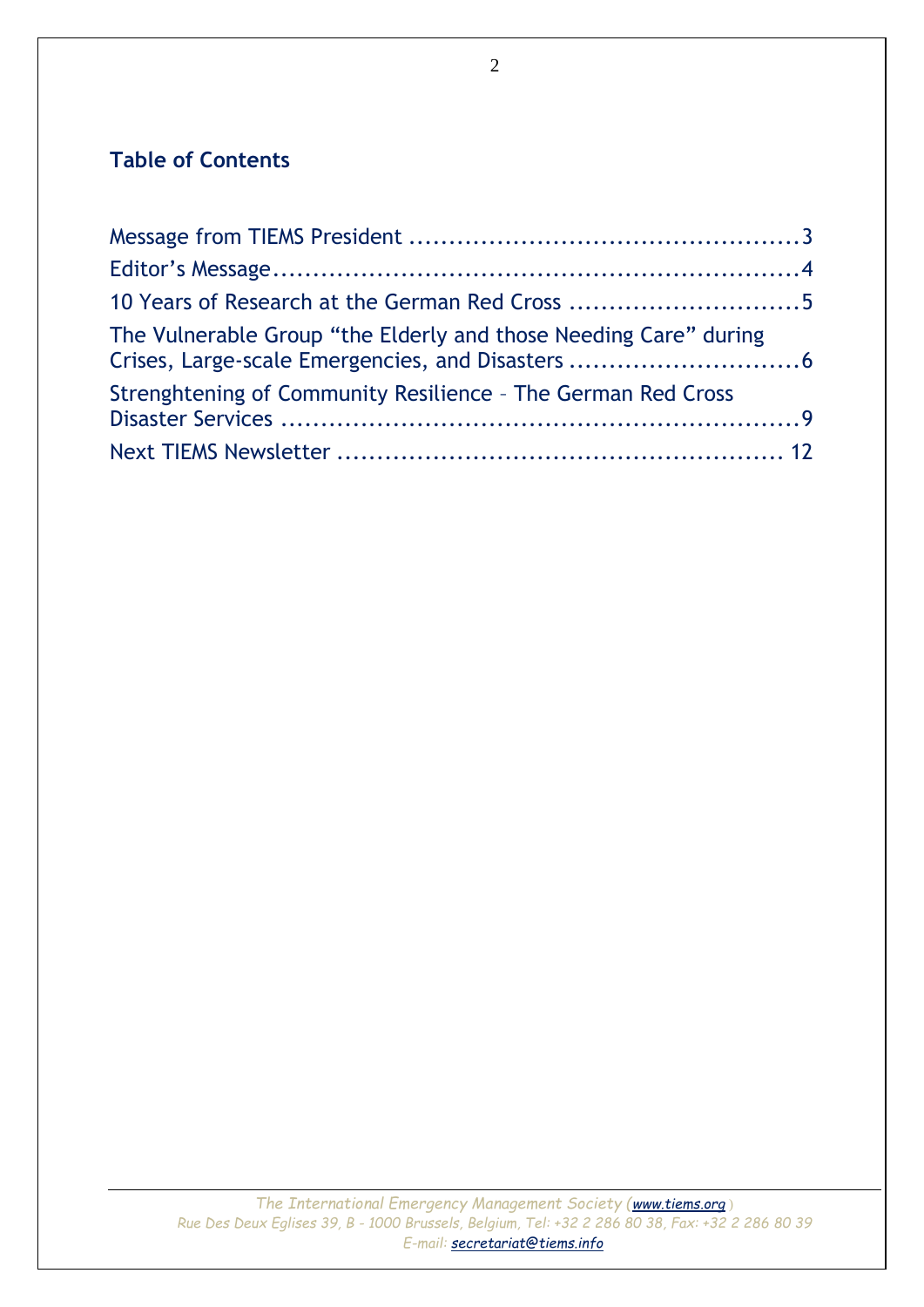### **Table of Contents**

| The Vulnerable Group "the Elderly and those Needing Care" during<br>Crises, Large-scale Emergencies, and Disasters 6<br>Strenghtening of Community Resilience - The German Red Cross |  |  |
|--------------------------------------------------------------------------------------------------------------------------------------------------------------------------------------|--|--|
|                                                                                                                                                                                      |  |  |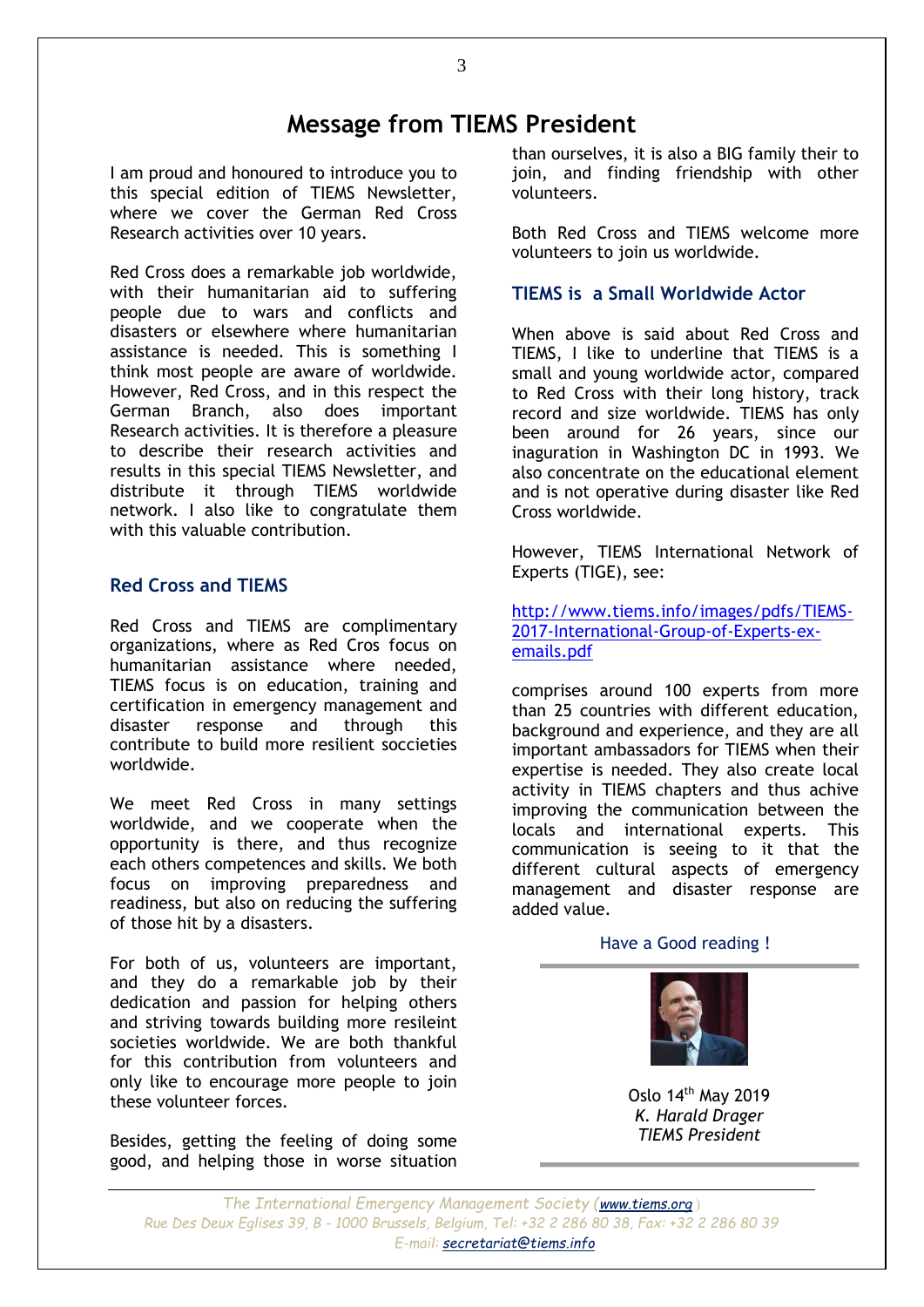### **Message from TIEMS President**

<span id="page-2-0"></span>I am proud and honoured to introduce you to this special edition of TIEMS Newsletter, where we cover the German Red Cross Research activities over 10 years.

Red Cross does a remarkable job worldwide, with their humanitarian aid to suffering people due to wars and conflicts and disasters or elsewhere where humanitarian assistance is needed. This is something I think most people are aware of worldwide. However, Red Cross, and in this respect the German Branch, also does important Research activities. It is therefore a pleasure to describe their research activities and results in this special TIEMS Newsletter, and distribute it through TIEMS worldwide network. I also like to congratulate them with this valuable contribution.

#### **Red Cross and TIEMS**

Red Cross and TIEMS are complimentary organizations, where as Red Cros focus on humanitarian assistance where needed, TIEMS focus is on education, training and certification in emergency management and disaster response and through this contribute to build more resilient soccieties worldwide.

We meet Red Cross in many settings worldwide, and we cooperate when the opportunity is there, and thus recognize each others competences and skills. We both focus on improving preparedness and readiness, but also on reducing the suffering of those hit by a disasters.

For both of us, volunteers are important, and they do a remarkable job by their dedication and passion for helping others and striving towards building more resileint societies worldwide. We are both thankful for this contribution from volunteers and only like to encourage more people to join these volunteer forces.

Besides, getting the feeling of doing some good, and helping those in worse situation than ourselves, it is also a BIG family their to join, and finding friendship with other volunteers.

Both Red Cross and TIEMS welcome more volunteers to join us worldwide.

#### **TIEMS is a Small Worldwide Actor**

When above is said about Red Cross and TIEMS, I like to underline that TIEMS is a small and young worldwide actor, compared to Red Cross with their long history, track record and size worldwide. TIEMS has only been around for 26 years, since our inaguration in Washington DC in 1993. We also concentrate on the educational element and is not operative during disaster like Red Cross worldwide.

However, TIEMS International Network of Experts (TIGE), see:

[http://www.tiems.info/images/pdfs/TIEMS-](http://www.tiems.info/images/pdfs/TIEMS-2017-International-Group-of-Experts-ex-emails.pdf)[2017-International-Group-of-Experts-ex](http://www.tiems.info/images/pdfs/TIEMS-2017-International-Group-of-Experts-ex-emails.pdf)[emails.pdf](http://www.tiems.info/images/pdfs/TIEMS-2017-International-Group-of-Experts-ex-emails.pdf)

comprises around 100 experts from more than 25 countries with different education, background and experience, and they are all important ambassadors for TIEMS when their expertise is needed. They also create local activity in TIEMS chapters and thus achive improving the communication between the locals and international experts. This communication is seeing to it that the different cultural aspects of emergency management and disaster response are added value.

Have a Good reading !



Oslo 14th May 2019 *K. Harald Drager TIEMS President*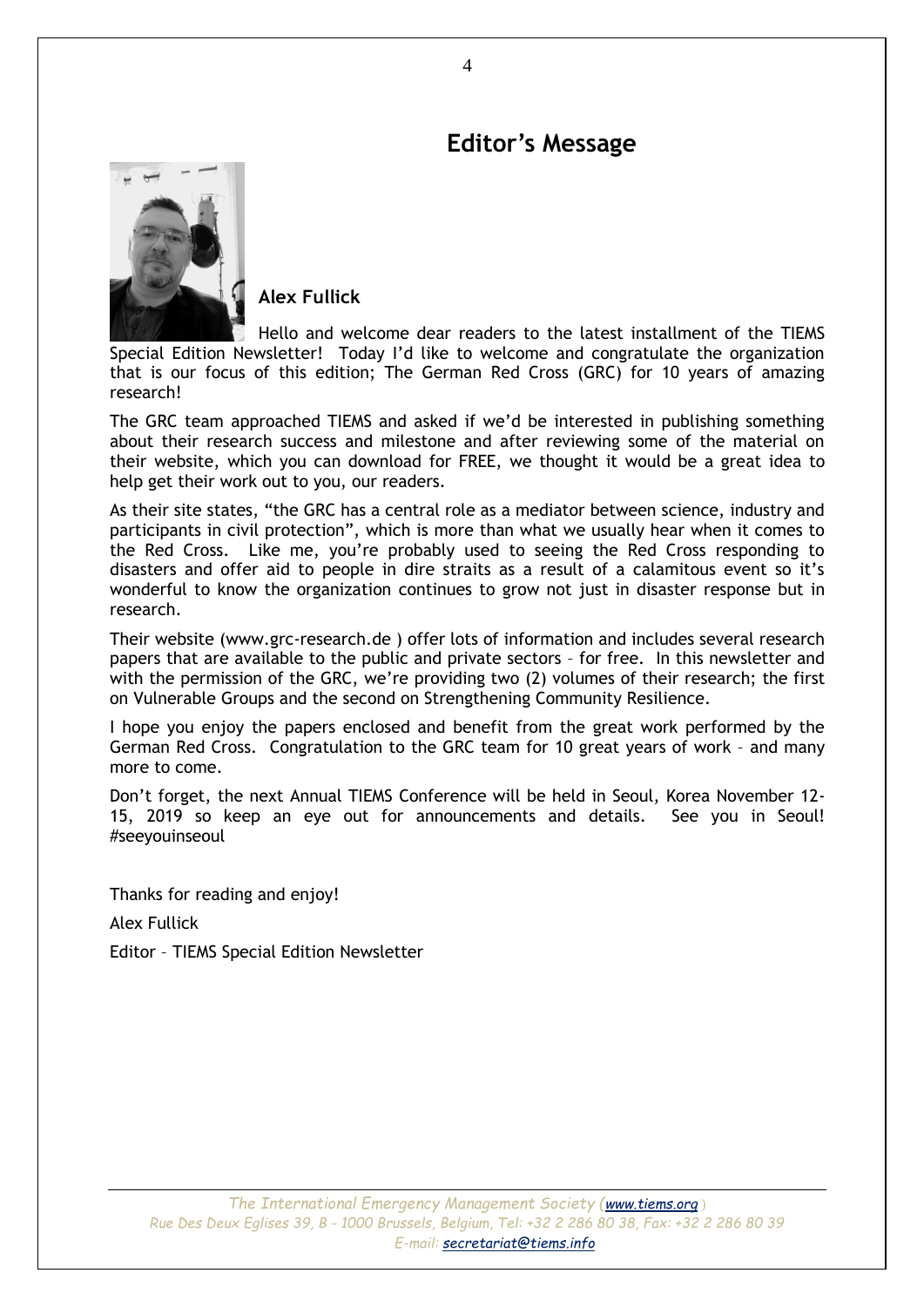### **Editor's Message**

<span id="page-3-0"></span>

**Alex Fullick**

Hello and welcome dear readers to the latest installment of the TIEMS Special Edition Newsletter! Today I'd like to welcome and congratulate the organization that is our focus of this edition; The German Red Cross (GRC) for 10 years of amazing research!

The GRC team approached TIEMS and asked if we'd be interested in publishing something about their research success and milestone and after reviewing some of the material on their website, which you can download for FREE, we thought it would be a great idea to help get their work out to you, our readers.

As their site states, "the GRC has a central role as a mediator between science, industry and participants in civil protection", which is more than what we usually hear when it comes to the Red Cross. Like me, you're probably used to seeing the Red Cross responding to disasters and offer aid to people in dire straits as a result of a calamitous event so it's wonderful to know the organization continues to grow not just in disaster response but in research.

Their website (www.grc-research.de ) offer lots of information and includes several research papers that are available to the public and private sectors – for free. In this newsletter and with the permission of the GRC, we're providing two (2) volumes of their research; the first on Vulnerable Groups and the second on Strengthening Community Resilience.

I hope you enjoy the papers enclosed and benefit from the great work performed by the German Red Cross. Congratulation to the GRC team for 10 great years of work – and many more to come.

Don't forget, the next Annual TIEMS Conference will be held in Seoul, Korea November 12- 15, 2019 so keep an eye out for announcements and details. See you in Seoul! #seeyouinseoul

Thanks for reading and enjoy! Alex Fullick

Editor – TIEMS Special Edition Newsletter

4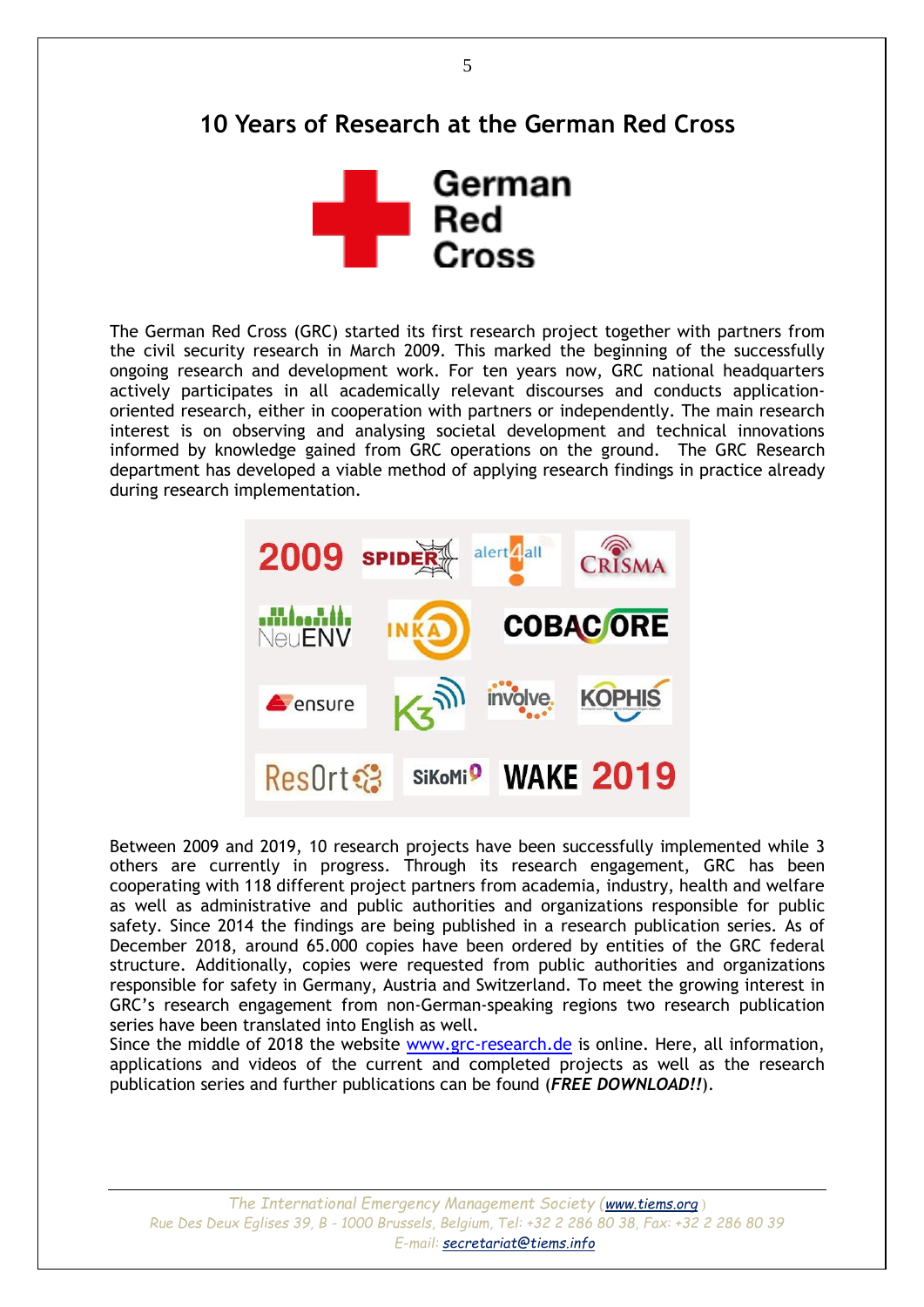### <span id="page-4-0"></span>**10 Years of Research at the German Red Cross**



The German Red Cross (GRC) started its first research project together with partners from the civil security research in March 2009. This marked the beginning of the successfully ongoing research and development work. For ten years now, GRC national headquarters actively participates in all academically relevant discourses and conducts applicationoriented research, either in cooperation with partners or independently. The main research interest is on observing and analysing societal development and technical innovations informed by knowledge gained from GRC operations on the ground. The GRC Research department has developed a viable method of applying research findings in practice already during research implementation.



Between 2009 and 2019, 10 research projects have been successfully implemented while 3 others are currently in progress. Through its research engagement, GRC has been cooperating with 118 different project partners from academia, industry, health and welfare as well as administrative and public authorities and organizations responsible for public safety. Since 2014 the findings are being published in a research publication series. As of December 2018, around 65.000 copies have been ordered by entities of the GRC federal structure. Additionally, copies were requested from public authorities and organizations responsible for safety in Germany, Austria and Switzerland. To meet the growing interest in GRC's research engagement from non-German-speaking regions two research publication series have been translated into English as well.

Since the middle of 2018 the website [www.grc-research.de](http://www.grc-research.de/) is online. Here, all information, applications and videos of the current and completed projects as well as the research publication series and further publications can be found (*FREE DOWNLOAD!!*).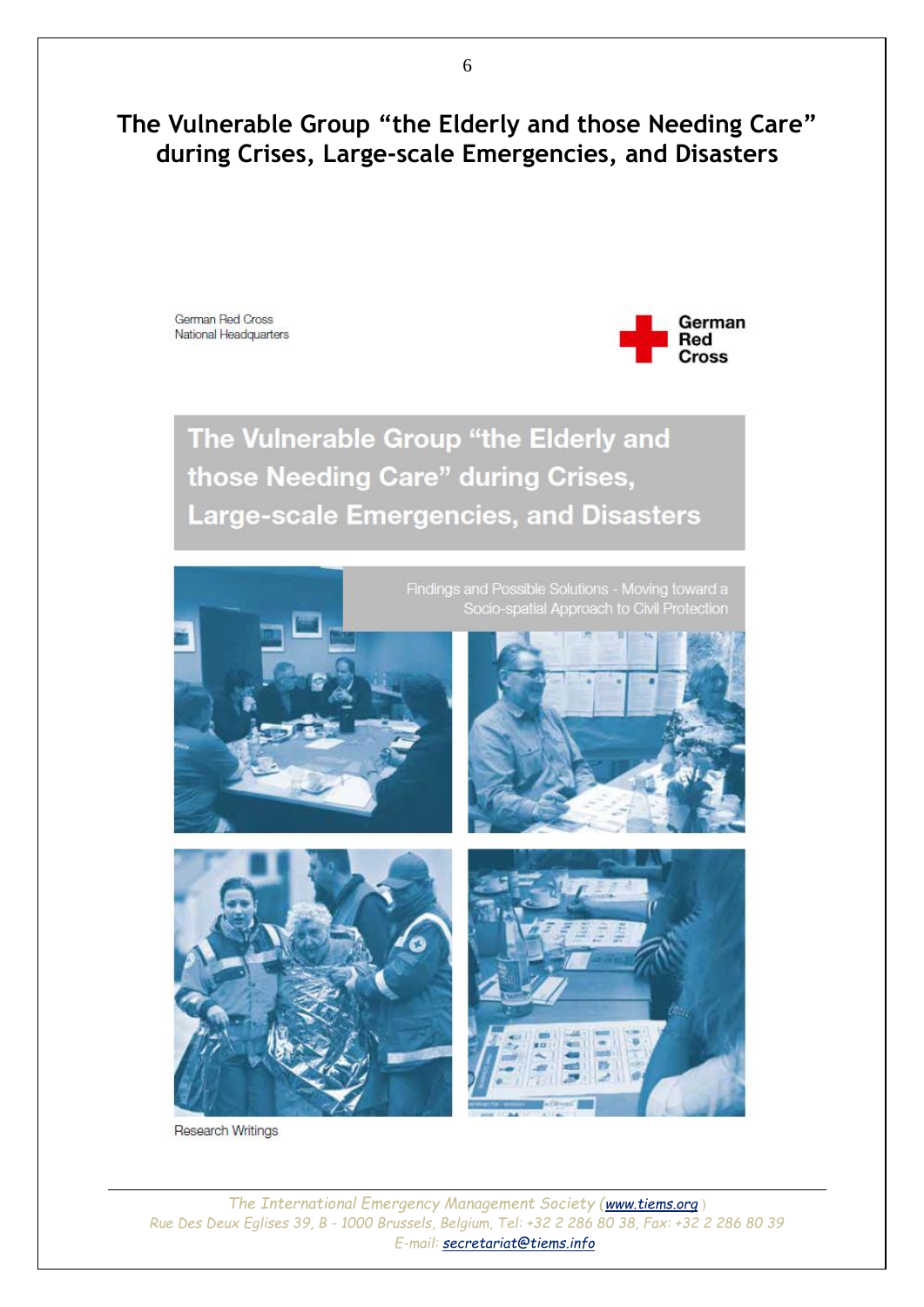### <span id="page-5-0"></span>**The Vulnerable Group "the Elderly and those Needing Care" during Crises, Large-scale Emergencies, and Disasters**

German Red Cross National Headquarters



The Vulnerable Group "the Elderly and those Needing Care" during Crises, **Large-scale Emergencies, and Disasters** 



Research Writings

*The International Emergency Management Society ([www.tiems.org](http://www.tiems.org/)* ) *Rue Des Deux Eglises 39, B - 1000 Brussels, Belgium, Tel: +32 2 286 80 38, Fax: +32 2 286 80 39 E-mail: [secretariat@tiems.info](mailto:secretariat@tiems.info)*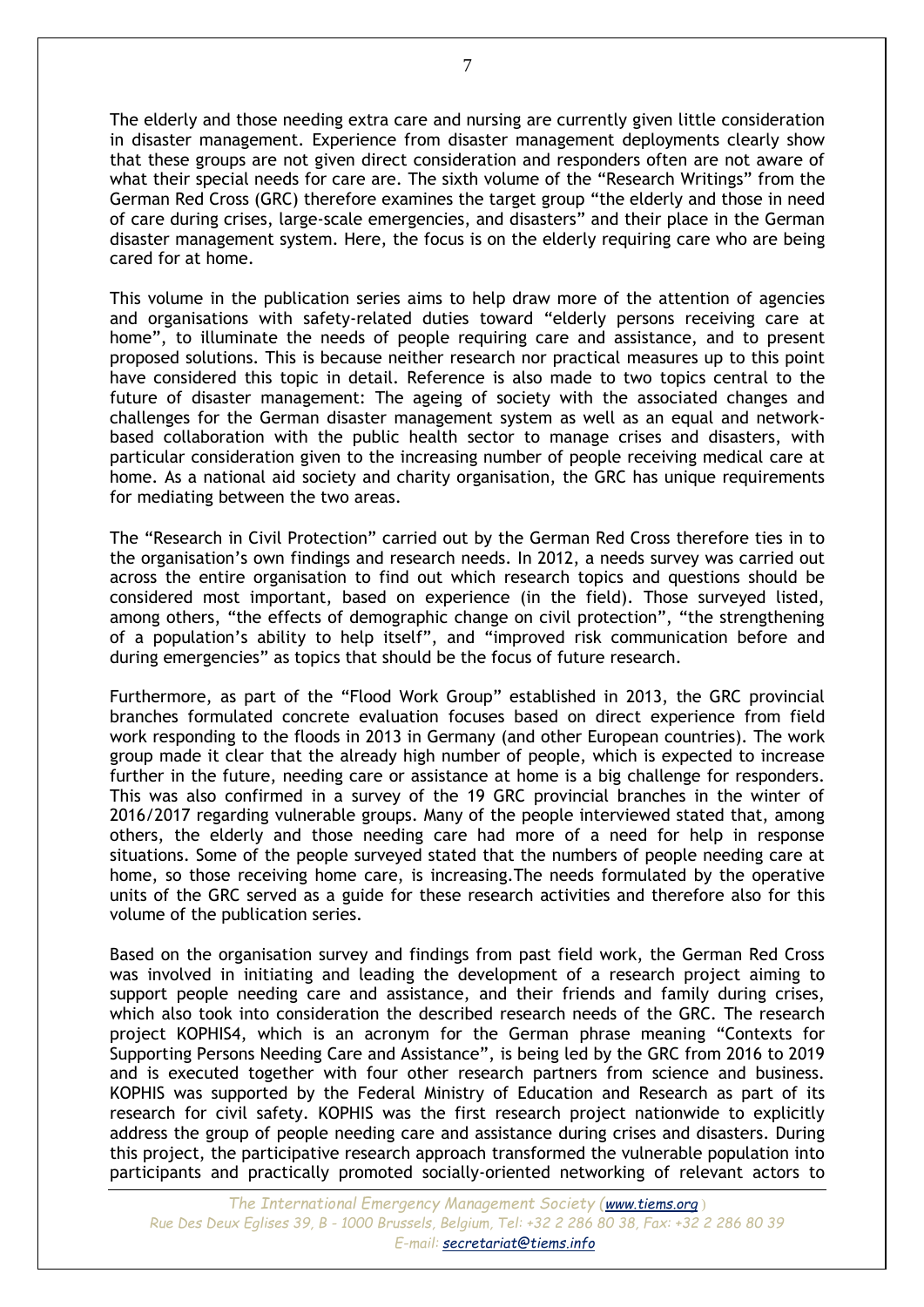The elderly and those needing extra care and nursing are currently given little consideration in disaster management. Experience from disaster management deployments clearly show that these groups are not given direct consideration and responders often are not aware of what their special needs for care are. The sixth volume of the "Research Writings" from the German Red Cross (GRC) therefore examines the target group "the elderly and those in need of care during crises, large-scale emergencies, and disasters" and their place in the German disaster management system. Here, the focus is on the elderly requiring care who are being cared for at home.

This volume in the publication series aims to help draw more of the attention of agencies and organisations with safety-related duties toward "elderly persons receiving care at home", to illuminate the needs of people requiring care and assistance, and to present proposed solutions. This is because neither research nor practical measures up to this point have considered this topic in detail. Reference is also made to two topics central to the future of disaster management: The ageing of society with the associated changes and challenges for the German disaster management system as well as an equal and networkbased collaboration with the public health sector to manage crises and disasters, with particular consideration given to the increasing number of people receiving medical care at home. As a national aid society and charity organisation, the GRC has unique requirements for mediating between the two areas.

The "Research in Civil Protection" carried out by the German Red Cross therefore ties in to the organisation's own findings and research needs. In 2012, a needs survey was carried out across the entire organisation to find out which research topics and questions should be considered most important, based on experience (in the field). Those surveyed listed, among others, "the effects of demographic change on civil protection", "the strengthening of a population's ability to help itself", and "improved risk communication before and during emergencies" as topics that should be the focus of future research.

Furthermore, as part of the "Flood Work Group" established in 2013, the GRC provincial branches formulated concrete evaluation focuses based on direct experience from field work responding to the floods in 2013 in Germany (and other European countries). The work group made it clear that the already high number of people, which is expected to increase further in the future, needing care or assistance at home is a big challenge for responders. This was also confirmed in a survey of the 19 GRC provincial branches in the winter of 2016/2017 regarding vulnerable groups. Many of the people interviewed stated that, among others, the elderly and those needing care had more of a need for help in response situations. Some of the people surveyed stated that the numbers of people needing care at home, so those receiving home care, is increasing.The needs formulated by the operative units of the GRC served as a guide for these research activities and therefore also for this volume of the publication series.

Based on the organisation survey and findings from past field work, the German Red Cross was involved in initiating and leading the development of a research project aiming to support people needing care and assistance, and their friends and family during crises, which also took into consideration the described research needs of the GRC. The research project KOPHIS4, which is an acronym for the German phrase meaning "Contexts for Supporting Persons Needing Care and Assistance", is being led by the GRC from 2016 to 2019 and is executed together with four other research partners from science and business. KOPHIS was supported by the Federal Ministry of Education and Research as part of its research for civil safety. KOPHIS was the first research project nationwide to explicitly address the group of people needing care and assistance during crises and disasters. During this project, the participative research approach transformed the vulnerable population into participants and practically promoted socially-oriented networking of relevant actors to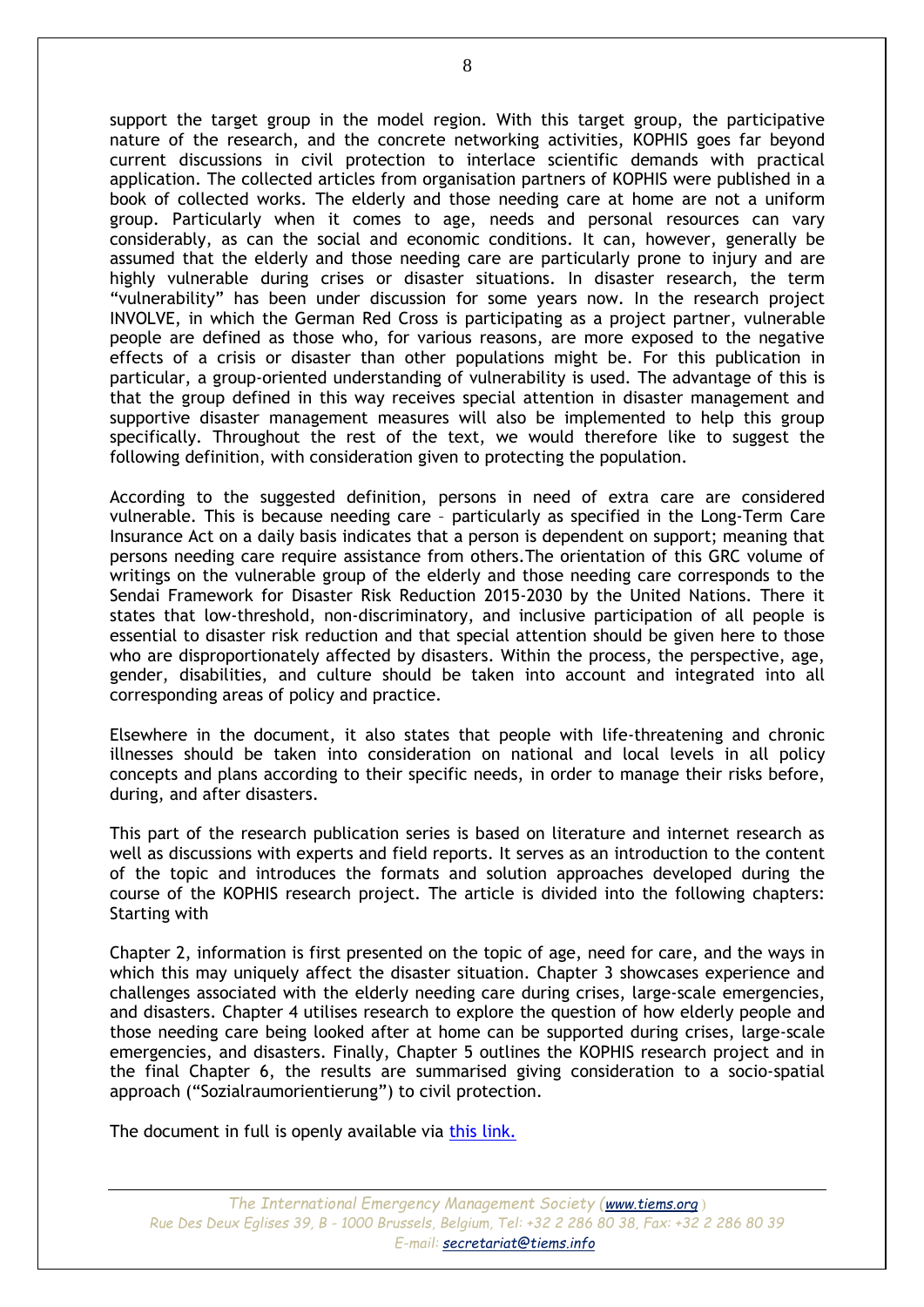support the target group in the model region. With this target group, the participative nature of the research, and the concrete networking activities, KOPHIS goes far beyond current discussions in civil protection to interlace scientific demands with practical application. The collected articles from organisation partners of KOPHIS were published in a book of collected works. The elderly and those needing care at home are not a uniform group. Particularly when it comes to age, needs and personal resources can vary considerably, as can the social and economic conditions. It can, however, generally be assumed that the elderly and those needing care are particularly prone to injury and are highly vulnerable during crises or disaster situations. In disaster research, the term "vulnerability" has been under discussion for some years now. In the research project INVOLVE, in which the German Red Cross is participating as a project partner, vulnerable people are defined as those who, for various reasons, are more exposed to the negative effects of a crisis or disaster than other populations might be. For this publication in particular, a group-oriented understanding of vulnerability is used. The advantage of this is that the group defined in this way receives special attention in disaster management and supportive disaster management measures will also be implemented to help this group specifically. Throughout the rest of the text, we would therefore like to suggest the following definition, with consideration given to protecting the population.

According to the suggested definition, persons in need of extra care are considered vulnerable. This is because needing care – particularly as specified in the Long-Term Care Insurance Act on a daily basis indicates that a person is dependent on support; meaning that persons needing care require assistance from others.The orientation of this GRC volume of writings on the vulnerable group of the elderly and those needing care corresponds to the Sendai Framework for Disaster Risk Reduction 2015-2030 by the United Nations. There it states that low-threshold, non-discriminatory, and inclusive participation of all people is essential to disaster risk reduction and that special attention should be given here to those who are disproportionately affected by disasters. Within the process, the perspective, age, gender, disabilities, and culture should be taken into account and integrated into all corresponding areas of policy and practice.

Elsewhere in the document, it also states that people with life-threatening and chronic illnesses should be taken into consideration on national and local levels in all policy concepts and plans according to their specific needs, in order to manage their risks before, during, and after disasters.

This part of the research publication series is based on literature and internet research as well as discussions with experts and field reports. It serves as an introduction to the content of the topic and introduces the formats and solution approaches developed during the course of the KOPHIS research project. The article is divided into the following chapters: Starting with

Chapter 2, information is first presented on the topic of age, need for care, and the ways in which this may uniquely affect the disaster situation. Chapter 3 showcases experience and challenges associated with the elderly needing care during crises, large-scale emergencies, and disasters. Chapter 4 utilises research to explore the question of how elderly people and those needing care being looked after at home can be supported during crises, large-scale emergencies, and disasters. Finally, Chapter 5 outlines the KOPHIS research project and in the final Chapter 6, the results are summarised giving consideration to a socio-spatial approach ("Sozialraumorientierung") to civil protection.

The document in full is openly available via [this link.](https://www.drk.de/fileadmin/user_upload/Forschung/schriftenreihe/Band_6/Band_VI_englisch.pdf)

*The International Emergency Management Society ([www.tiems.org](http://www.tiems.org/)* ) *Rue Des Deux Eglises 39, B - 1000 Brussels, Belgium, Tel: +32 2 286 80 38, Fax: +32 2 286 80 39 E-mail: [secretariat@tiems.info](mailto:secretariat@tiems.info)*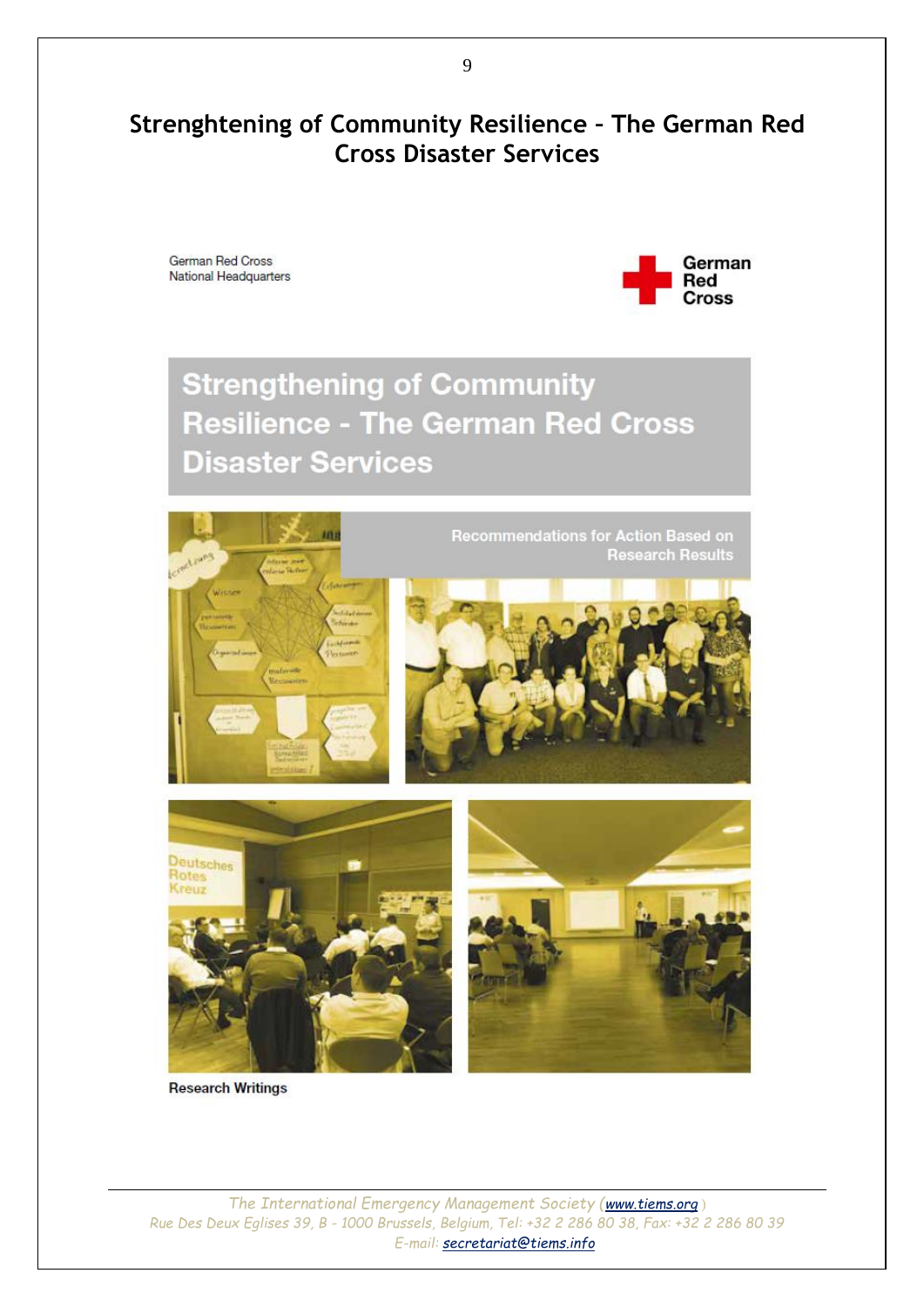### <span id="page-8-0"></span>**Strenghtening of Community Resilience – The German Red Cross Disaster Services**

German Red Cross National Headquarters



## **Strengthening of Community Resilience - The German Red Cross Disaster Services**



**Research Writings**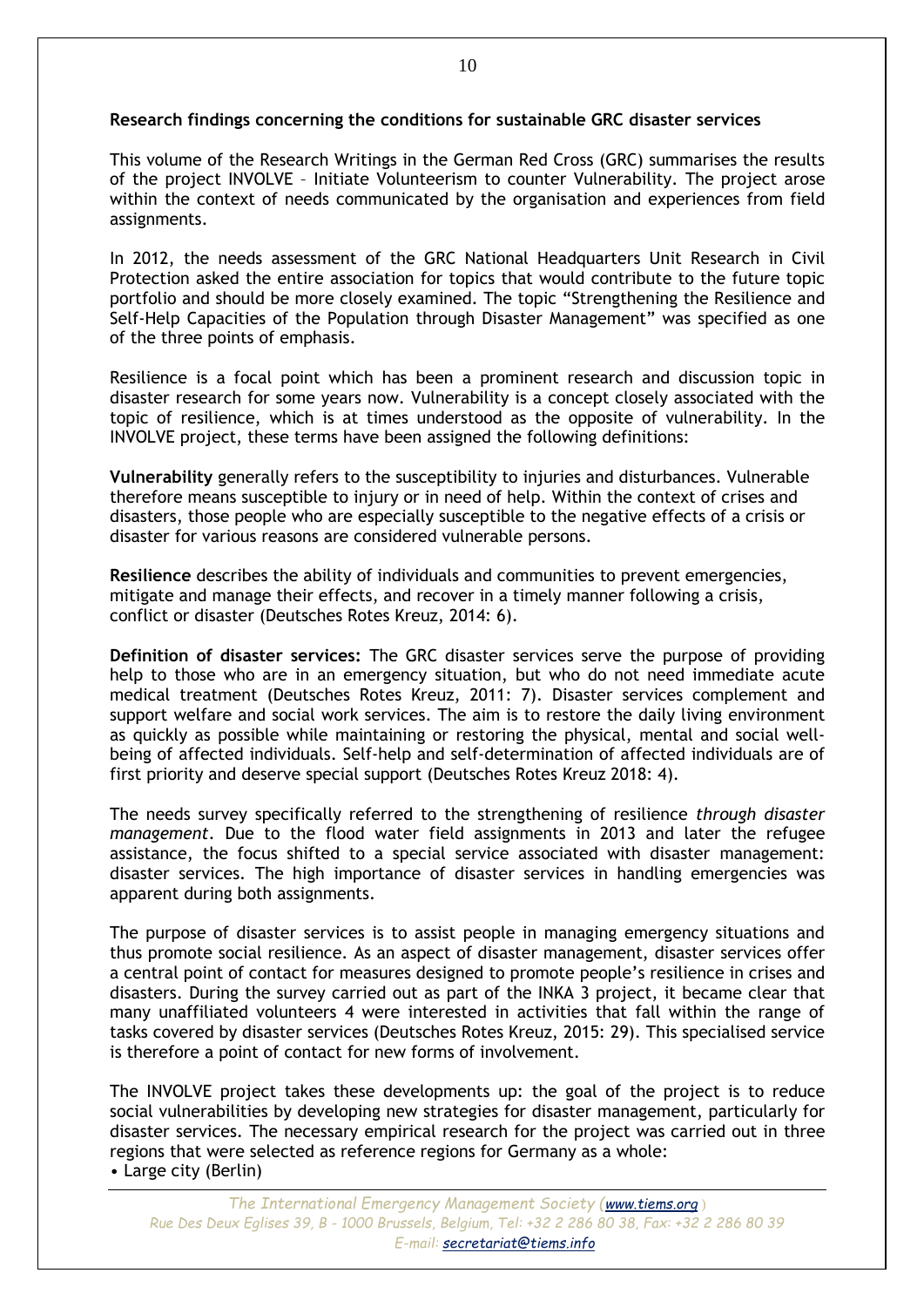#### **Research findings concerning the conditions for sustainable GRC disaster services**

This volume of the Research Writings in the German Red Cross (GRC) summarises the results of the project INVOLVE – Initiate Volunteerism to counter Vulnerability. The project arose within the context of needs communicated by the organisation and experiences from field assignments.

In 2012, the needs assessment of the GRC National Headquarters Unit Research in Civil Protection asked the entire association for topics that would contribute to the future topic portfolio and should be more closely examined. The topic "Strengthening the Resilience and Self-Help Capacities of the Population through Disaster Management" was specified as one of the three points of emphasis.

Resilience is a focal point which has been a prominent research and discussion topic in disaster research for some years now. Vulnerability is a concept closely associated with the topic of resilience, which is at times understood as the opposite of vulnerability. In the INVOLVE project, these terms have been assigned the following definitions:

**Vulnerability** generally refers to the susceptibility to injuries and disturbances. Vulnerable therefore means susceptible to injury or in need of help. Within the context of crises and disasters, those people who are especially susceptible to the negative effects of a crisis or disaster for various reasons are considered vulnerable persons.

**Resilience** describes the ability of individuals and communities to prevent emergencies, mitigate and manage their effects, and recover in a timely manner following a crisis, conflict or disaster (Deutsches Rotes Kreuz, 2014: 6).

**Definition of disaster services:** The GRC disaster services serve the purpose of providing help to those who are in an emergency situation, but who do not need immediate acute medical treatment (Deutsches Rotes Kreuz, 2011: 7). Disaster services complement and support welfare and social work services. The aim is to restore the daily living environment as quickly as possible while maintaining or restoring the physical, mental and social wellbeing of affected individuals. Self-help and self-determination of affected individuals are of first priority and deserve special support (Deutsches Rotes Kreuz 2018: 4).

The needs survey specifically referred to the strengthening of resilience *through disaster management*. Due to the flood water field assignments in 2013 and later the refugee assistance, the focus shifted to a special service associated with disaster management: disaster services. The high importance of disaster services in handling emergencies was apparent during both assignments.

The purpose of disaster services is to assist people in managing emergency situations and thus promote social resilience. As an aspect of disaster management, disaster services offer a central point of contact for measures designed to promote people's resilience in crises and disasters. During the survey carried out as part of the INKA 3 project, it became clear that many unaffiliated volunteers 4 were interested in activities that fall within the range of tasks covered by disaster services (Deutsches Rotes Kreuz, 2015: 29). This specialised service is therefore a point of contact for new forms of involvement.

The INVOLVE project takes these developments up: the goal of the project is to reduce social vulnerabilities by developing new strategies for disaster management, particularly for disaster services. The necessary empirical research for the project was carried out in three regions that were selected as reference regions for Germany as a whole: • Large city (Berlin)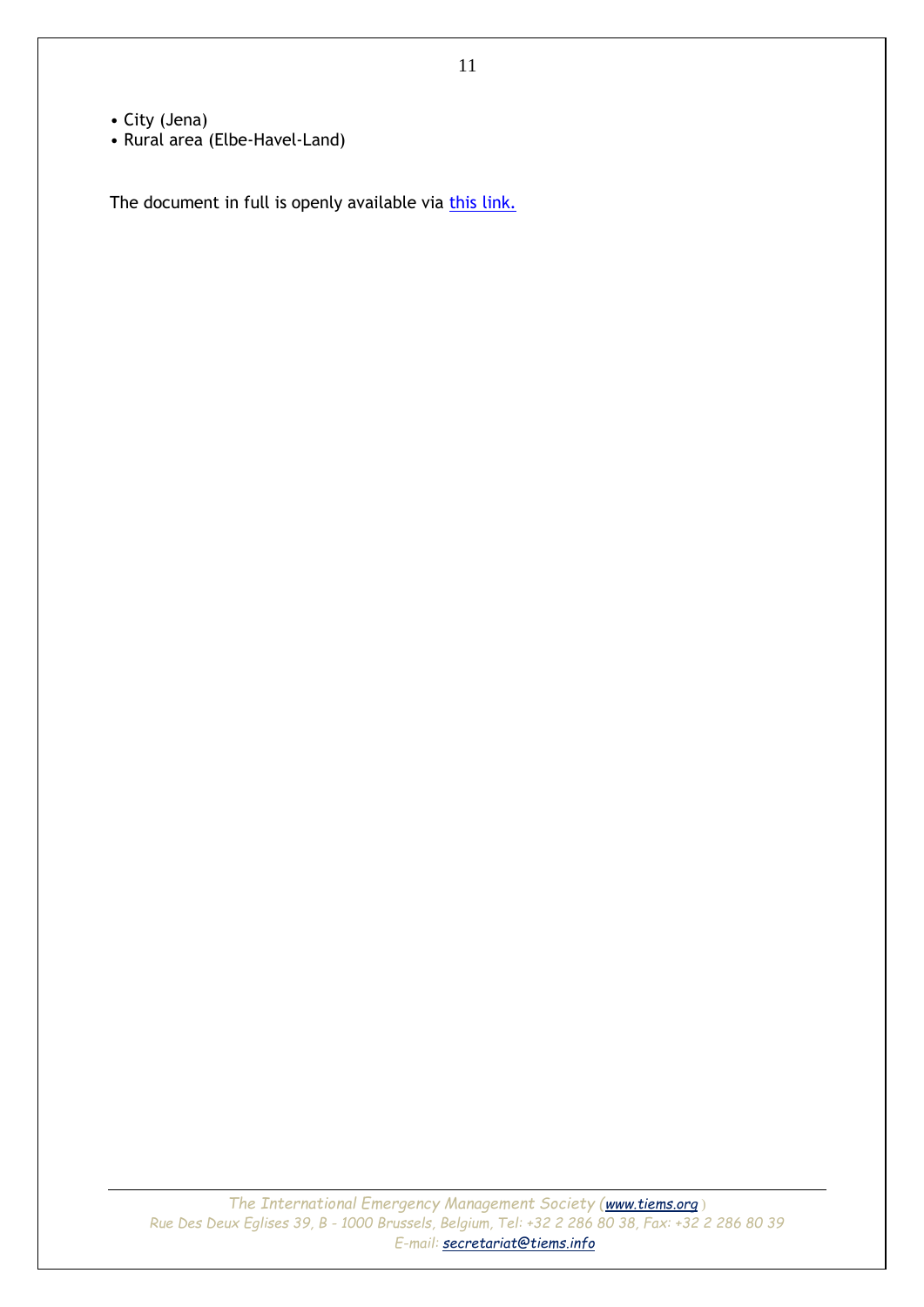- City (Jena)
- Rural area (Elbe-Havel-Land)

The document in full is openly available via [this link.](https://www.dropbox.com/s/g9ad2b9pddd0dhs/005%20-%20Strengthening%20of%20Community%20Resilience.pdf?dl=0)